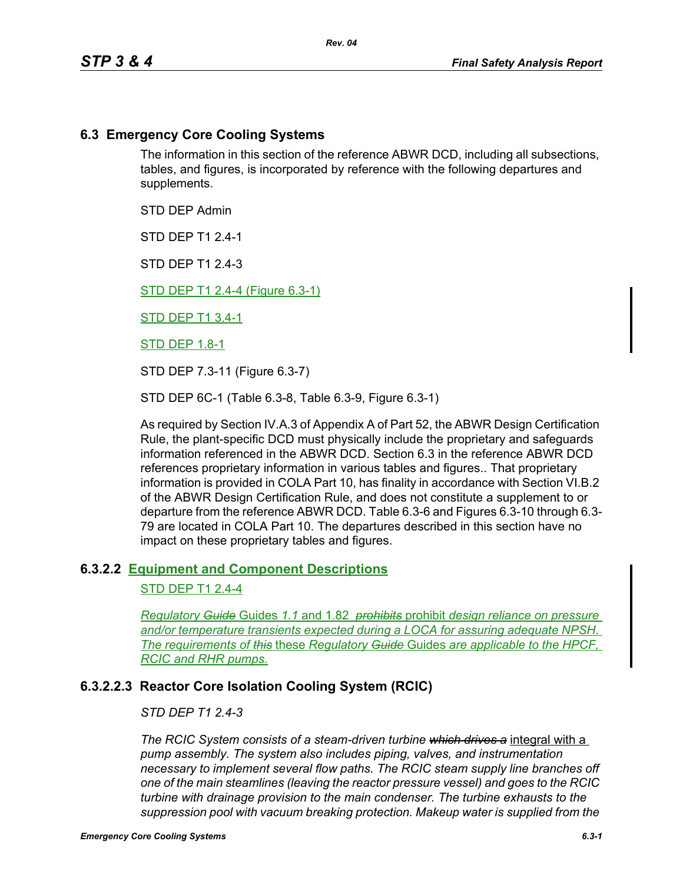# **6.3 Emergency Core Cooling Systems**

The information in this section of the reference ABWR DCD, including all subsections, tables, and figures, is incorporated by reference with the following departures and supplements.

STD DEP Admin

STD DEP T1 2.4-1

STD DFP T1 2 4-3

STD DEP T1 2.4-4 (Figure 6.3-1)

STD DEP T1 3.4-1

STD DEP 1.8-1

STD DEP 7.3-11 (Figure 6.3-7)

STD DEP 6C-1 (Table 6.3-8, Table 6.3-9, Figure 6.3-1)

As required by Section IV.A.3 of Appendix A of Part 52, the ABWR Design Certification Rule, the plant-specific DCD must physically include the proprietary and safeguards information referenced in the ABWR DCD. Section 6.3 in the reference ABWR DCD references proprietary information in various tables and figures.. That proprietary information is provided in COLA Part 10, has finality in accordance with Section VI.B.2 of the ABWR Design Certification Rule, and does not constitute a supplement to or departure from the reference ABWR DCD. Table 6.3-6 and Figures 6.3-10 through 6.3- 79 are located in COLA Part 10. The departures described in this section have no impact on these proprietary tables and figures.

## **6.3.2.2 Equipment and Component Descriptions**

## STD DEP T1 2.4-4

*Regulatory Guide* Guides *1.1* and 1.82 *prohibits* prohibit *design reliance on pressure and/or temperature transients expected during a LOCA for assuring adequate NPSH. The requirements of this* these *Regulatory Guide* Guides *are applicable to the HPCF, RCIC and RHR pumps.*

# **6.3.2.2.3 Reactor Core Isolation Cooling System (RCIC)**

## *STD DEP T1 2.4-3*

*The RCIC System consists of a steam-driven turbine which drives a* integral with a *pump assembly. The system also includes piping, valves, and instrumentation necessary to implement several flow paths. The RCIC steam supply line branches off one of the main steamlines (leaving the reactor pressure vessel) and goes to the RCIC turbine with drainage provision to the main condenser. The turbine exhausts to the suppression pool with vacuum breaking protection. Makeup water is supplied from the*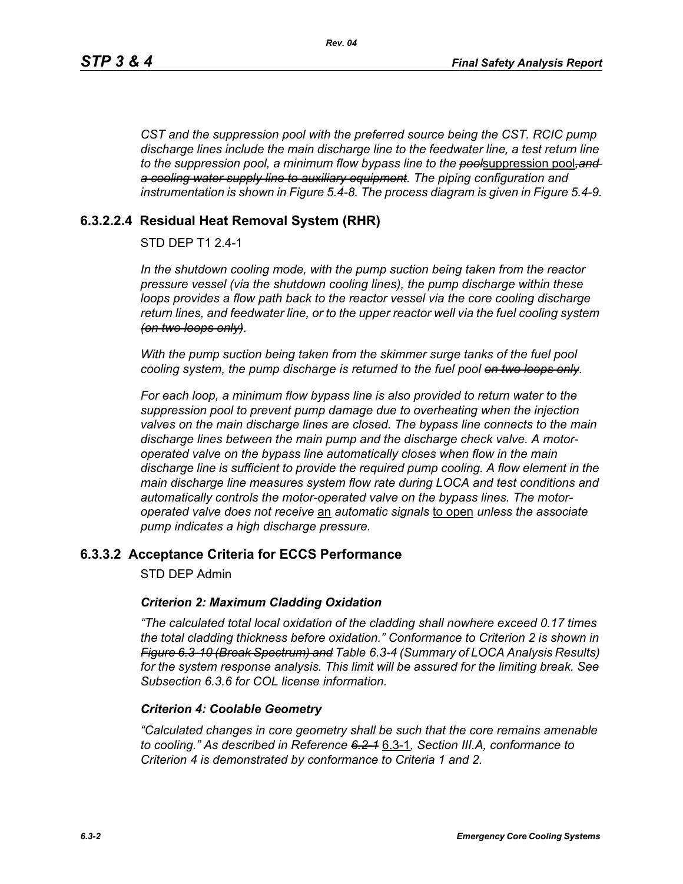*CST and the suppression pool with the preferred source being the CST. RCIC pump discharge lines include the main discharge line to the feedwater line, a test return line to the suppression pool, a minimum flow bypass line to the pool*suppression pool*,and a cooling water supply line to auxiliary equipment. The piping configuration and instrumentation is shown in Figure 5.4-8. The process diagram is given in Figure 5.4-9.*

# **6.3.2.2.4 Residual Heat Removal System (RHR)**

# STD DEP T1 2.4-1

*In the shutdown cooling mode, with the pump suction being taken from the reactor pressure vessel (via the shutdown cooling lines), the pump discharge within these loops provides a flow path back to the reactor vessel via the core cooling discharge return lines, and feedwater line, or to the upper reactor well via the fuel cooling system (on two loops only).*

*With the pump suction being taken from the skimmer surge tanks of the fuel pool cooling system, the pump discharge is returned to the fuel pool on two loops only.*

*For each loop, a minimum flow bypass line is also provided to return water to the suppression pool to prevent pump damage due to overheating when the injection valves on the main discharge lines are closed. The bypass line connects to the main discharge lines between the main pump and the discharge check valve. A motoroperated valve on the bypass line automatically closes when flow in the main discharge line is sufficient to provide the required pump cooling. A flow element in the main discharge line measures system flow rate during LOCA and test conditions and automatically controls the motor-operated valve on the bypass lines. The motoroperated valve does not receive* an *automatic signals* to open *unless the associate pump indicates a high discharge pressure.*

# **6.3.3.2 Acceptance Criteria for ECCS Performance**

STD DEP Admin

## *Criterion 2: Maximum Cladding Oxidation*

*"The calculated total local oxidation of the cladding shall nowhere exceed 0.17 times the total cladding thickness before oxidation." Conformance to Criterion 2 is shown in Figure 6.3-10 (Break Spectrum) and Table 6.3-4 (Summary of LOCA Analysis Results) for the system response analysis. This limit will be assured for the limiting break. See Subsection [6.3.6](#page-2-0) for COL license information.*

#### *Criterion 4: Coolable Geometry*

*"Calculated changes in core geometry shall be such that the core remains amenable to cooling." As described in Reference 6.2-1* 6.3-1*, Section III.A, conformance to Criterion 4 is demonstrated by conformance to Criteria 1 and 2.*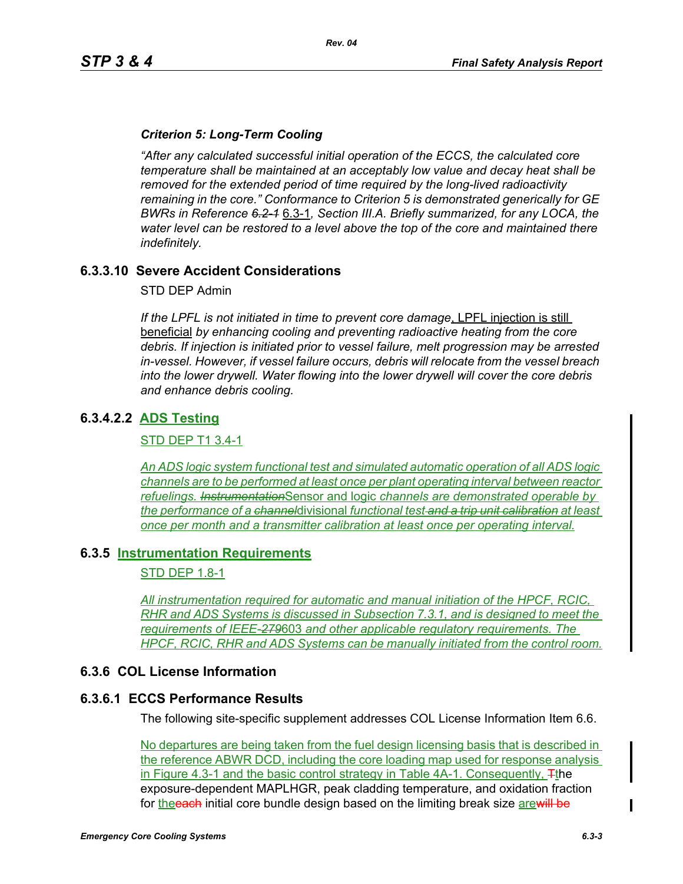## *Criterion 5: Long-Term Cooling*

*"After any calculated successful initial operation of the ECCS, the calculated core temperature shall be maintained at an acceptably low value and decay heat shall be removed for the extended period of time required by the long-lived radioactivity remaining in the core." Conformance to Criterion 5 is demonstrated generically for GE BWRs in Reference 6.2-1* 6.3-1*, Section III.A. Briefly summarized, for any LOCA, the water level can be restored to a level above the top of the core and maintained there indefinitely.*

# **6.3.3.10 Severe Accident Considerations**

STD DEP Admin

*If the LPFL is not initiated in time to prevent core damage*, LPFL injection is still beneficial *by enhancing cooling and preventing radioactive heating from the core debris. If injection is initiated prior to vessel failure, melt progression may be arrested in-vessel. However, if vessel failure occurs, debris will relocate from the vessel breach into the lower drywell. Water flowing into the lower drywell will cover the core debris and enhance debris cooling.*

# **6.3.4.2.2 ADS Testing**

### STD DEP T1 3.4-1

*An ADS logic system functional test and simulated automatic operation of all ADS logic channels are to be performed at least once per plant operating interval between reactor refuelings. Instrumentation*Sensor and logic *channels are demonstrated operable by the performance of a channel*divisional *functional test and a trip unit calibration at least once per month and a transmitter calibration at least once per operating interval.*

## **6.3.5 Instrumentation Requirements**

## STD DEP 1.8-1

*All instrumentation required for automatic and manual initiation of the HPCF, RCIC, RHR and ADS Systems is discussed in Subsection 7.3.1, and is designed to meet the requirements of IEEE-279*603 *and other applicable regulatory requirements. The HPCF, RCIC, RHR and ADS Systems can be manually initiated from the control room.*

## <span id="page-2-0"></span>**6.3.6 COL License Information**

#### **6.3.6.1 ECCS Performance Results**

The following site-specific supplement addresses COL License Information Item 6.6.

No departures are being taken from the fuel design licensing basis that is described in the reference ABWR DCD, including the core loading map used for response analysis in Figure 4.3-1 and the basic control strategy in Table 4A-1. Consequently,  $\pm$ the exposure-dependent MAPLHGR, peak cladding temperature, and oxidation fraction for the **each** initial core bundle design based on the limiting break size are will be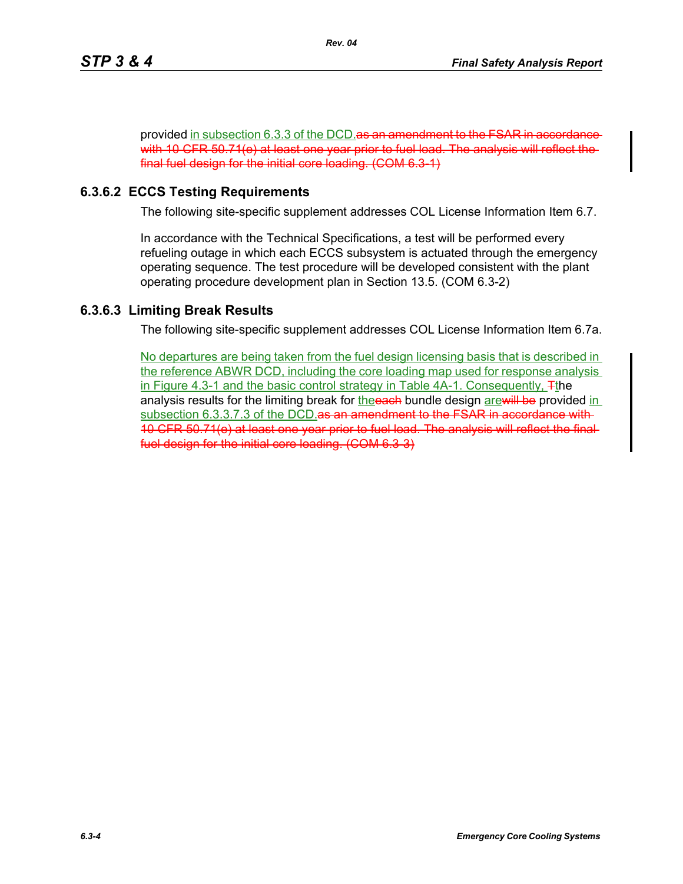provided in subsection 6.3.3 of the DCD as an amendment to the FSAR in accordance with 10 CFR 50.71(e) at least one year prior to fuel load. The analysis will reflect the final fuel design for the initial core loading. (COM 6.3-1)

# **6.3.6.2 ECCS Testing Requirements**

The following site-specific supplement addresses COL License Information Item 6.7.

In accordance with the Technical Specifications, a test will be performed every refueling outage in which each ECCS subsystem is actuated through the emergency operating sequence. The test procedure will be developed consistent with the plant operating procedure development plan in Section 13.5. (COM 6.3-2)

# **6.3.6.3 Limiting Break Results**

The following site-specific supplement addresses COL License Information Item 6.7a.

No departures are being taken from the fuel design licensing basis that is described in the reference ABWR DCD, including the core loading map used for response analysis in Figure 4.3-1 and the basic control strategy in Table 4A-1. Consequently, Tthe analysis results for the limiting break for the each bundle design are will be provided in subsection 6.3.3.7.3 of the DCD. as an amendment to the FSAR in accordance with-10 CFR 50.71(e) at least one year prior to fuel load. The analysis will reflect the final fuel design for the initial core loading. (COM 6.3-3)